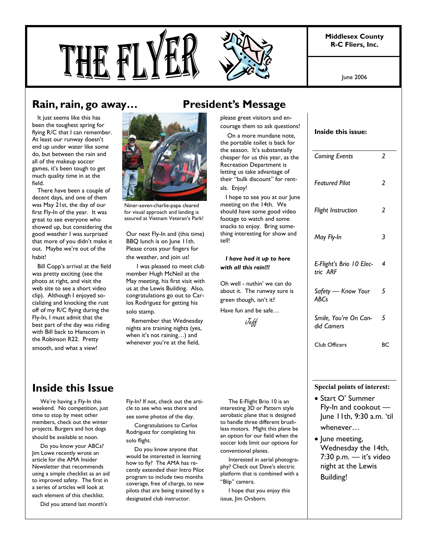**Middlesex County R-C Fliers, Inc.** 





 It just seems like this has been the toughest spring for flying R/C that I can remember. At least our runway doesn't end up under water like some do, but between the rain and all of the makeup soccer games, it's been tough to get much quality time in at the field.

 There have been a couple of decent days, and one of them was May 21st, the day of our first Fly-In of the year. It was great to see everyone who showed up, but considering the good weather I was surprised that more of you didn't make it out. Maybe we're out of the habit!

 Bill Copp's arrival at the field was pretty exciting (see the photo at right, and visit the web site to see a short video clip). Although I enjoyed socializing and knocking the rust off of my R/C flying during the Fly-In, I must admit that the best part of the day was riding with Bill back to Hanscom in the Robinson R22. Pretty smooth, and what a view!



Niner-seven-charlie-papa cleared for visual approach and landing is assured at Vietnam Veteran's Park!

Our next Fly-In and (this time) BBQ lunch is on June 11th. Please cross your fingers for the weather, and join us!

 I was pleased to meet club member Hugh McNeil at the May meeting, his first visit with us at the Lewis Building. Also, congratulations go out to Carlos Rodriguez for getting his solo stamp.

 Remember that Wednesday nights are training nights (yes, when it's not raining…) and whenever you're at the field,

please greet visitors and encourage them to ask questions!

 On a more mundane note, the portable toilet is back for the season. It's substantially cheaper for us this year, as the Recreation Department is letting us take advantage of their "bulk discount" for rentals. Enjoy!

 I hope to see you at our June meeting on the 14th. We should have some good video footage to watch and some snacks to enjoy. Bring something interesting for show and tell!

#### *I have had it up to here with all this rain!!!*

Oh well - nuthin' we can do about it. The runway sure is green though, isn't it?

Have fun and be safe…

Jeff

### **Inside this Issue**

 We're having a Fly-In this weekend. No competition, just time to stop by meet other members, check out the winter projects. Burgers and hot dogs should be available at noon.

 Do you know your ABCs? Jim Lowe recently wrote an article for the AMA Insider Newsletter that recommends using a simple checklist as an aid to improved safety. The first in a series of articles will look at each element of this checklist.

Did you attend last month's

Fly-In? If not, check out the article to see who was there and see some photos of the day.

 Congratulations to Carlos Rodriguez for completing his solo flight.

 Do you know anyone that would be interested in learning how to fly? The AMA has recently extended their Intro Pilot program to include two months coverage, free of charge, to new pilots that are being trained by a designated club instructor.

 The E-Flight Brio 10 is an interesting 3D or Pattern style aerobatic plane that is designed to handle three different brushless motors. Might this plane be an option for our field when the soccer kids limit our options for conventional planes.

 Interested in aerial photography? Check out Dave's electric platform that is combined with a "Blip" camera.

 I hope that you enjoy this issue, Jim Orsborn.

|  | Inside this issue: |
|--|--------------------|
|  |                    |

| <b>Coming Events</b>                              | 2  |  |  |
|---------------------------------------------------|----|--|--|
| <b>Featured Pilot</b>                             | 2  |  |  |
| Flight Instruction                                | 2  |  |  |
| May Fly-In                                        | 3  |  |  |
| E-Flight's Brio 10 Elec-<br>tric ARF              | 4  |  |  |
| Safety - Know Your<br><b>ABCs</b>                 | 5  |  |  |
| Smile, You're On Can-<br>did Camers               | 5  |  |  |
| <b>Club Officers</b>                              | ВC |  |  |
|                                                   |    |  |  |
| <b>Special points of interest:</b>                |    |  |  |
| • Start O' Summer                                 |    |  |  |
| Fly-In and cookout -<br>June 11th, 9:30 a.m. 'til |    |  |  |
| whenever                                          |    |  |  |
|                                                   |    |  |  |

• June meeting, Wednesday the 14th, 7:30 p.m. — it's video night at the Lewis Building!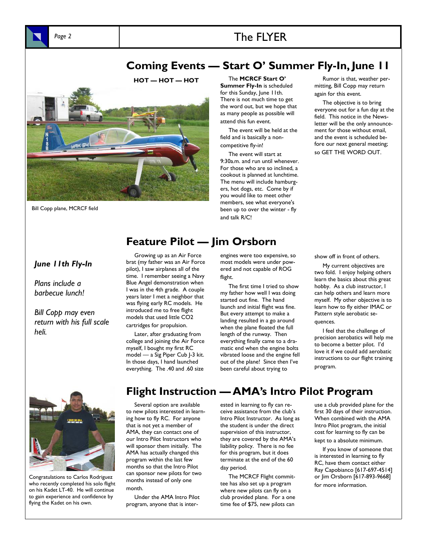# Page 2 **The FLYER**

### **Coming Events — Start O' Summer Fly-In, June 11**



Bill Copp plane, MCRCF field

**HOT — HOT — HOT** The **MCRCF Start O' Summer Fly-In** is scheduled for this Sunday, June 11th. There is not much time to get the word out, but we hope that as many people as possible will attend this fun event.

> The event will be held at the field and is basically a noncompetitive fly-in!

 The event will start at 9:30a.m. and run until whenever. For those who are so inclined, a cookout is planned at lunchtime. The menu will include hamburgers, hot dogs, etc. Come by if you would like to meet other members, see what everyone's been up to over the winter - fly and talk R/C!

 Rumor is that, weather permitting, Bill Copp may return again for this event.

 The objective is to bring everyone out for a fun day at the field. This notice in the Newsletter will be the only announcement for those without email, and the event is scheduled before our next general meeting; so GET THE WORD OUT.

# **Feature Pilot — Jim Orsborn**

#### *June 11th Fly-In*

*Plans include a barbecue lunch!* 

*Bill Copp may even return with his full scale heli.* 

 Growing up as an Air Force brat (my father was an Air Force pilot), I saw airplanes all of the time. I remember seeing a Navy Blue Angel demonstration when I was in the 4th grade. A couple years later I met a neighbor that was flying early RC models. He introduced me to free flight models that used little CO2 cartridges for propulsion.

 Later, after graduating from college and joining the Air Force myself, I bought my first RC model — a Sig Piper Cub J-3 kit. In those days, I hand launched everything. The .40 and .60 size

engines were too expensive, so most models were under powered and not capable of ROG flight.

 The first time I tried to show my father how well I was doing started out fine. The hand launch and initial flight was fine. But every attempt to make a landing resulted in a go around when the plane floated the full length of the runway. Then everything finally came to a dramatic end when the engine bolts vibrated loose and the engine fell out of the plane! Since then I've been careful about trying to

show off in front of others.

 My current objectives are two fold. I enjoy helping others learn the basics about this great hobby. As a club instructor, I can help others and learn more myself. My other objective is to learn how to fly either IMAC or Pattern style aerobatic sequences.

 I feel that the challenge of precision aerobatics will help me to become a better pilot. I'd love it if we could add aerobatic instructions to our flight training program.



Congratulations to Carlos Rodriguez who recently completed his solo flight on his Kadet LT-40. He will continue to gain experience and confidence by flying the Kadet on his own.

# **Flight Instruction — AMA's Intro Pilot Program**

 Several option are available to new pilots interested in learning how to fly RC. For anyone that is not yet a member of AMA, they can contact one of our Intro Pilot Instructors who will sponsor them initially. The AMA has actually changed this program within the last few months so that the Intro Pilot can sponsor new pilots for two months instead of only one month.

 Under the AMA Intro Pilot program, anyone that is interested in learning to fly can receive assistance from the club's Intro Pilot Instructor. As long as the student is under the direct supervision of this instructor, they are covered by the AMA's liability policy. There is no fee for this program, but it does terminate at the end of the 60 day period.

 The MCRCF Flight committee has also set up a program where new pilots can fly on a club provided plane. For a one time fee of \$75, new pilots can

use a club provided plane for the first 30 days of their instruction. When combined with the AMA Intro Pilot program, the initial cost for learning to fly can be kept to a absolute minimum.

 If you know of someone that is interested in learning to fly RC, have them contact either Ray Capobianco [617-697-4514] or Jim Orsborn [617-893-9668] for more information.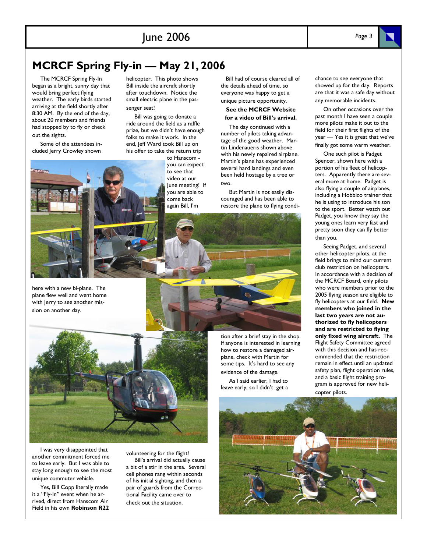## **MCRCF Spring Fly-in — May 21, 2006**

 The MCRCF Spring Fly-In began as a bright, sunny day that would bring perfect flying weather. The early birds started arriving at the field shortly after 8:30 AM. By the end of the day, about 20 members and friends had stopped by to fly or check out the sights.

 Some of the attendees included Jerry Crowley shown

here with a new bi-plane. The plane flew well and went home with Jerry to see another mission on another day.

helicopter. This photo shows Bill inside the aircraft shortly after touchdown. Notice the small electric plane in the passenger seat!

 Bill was going to donate a ride around the field as a raffle prize, but we didn't have enough folks to make it work. In the end, Jeff Ward took Bill up on his offer to take the return trip

to Hanscom you can expect to see that video at our June meeting! If you are able to come back again Bill, I'm

 Bill had of course cleared all of the details ahead of time, so everyone was happy to get a unique picture opportunity.

#### **See the MCRCF Website for a video of Bill's arrival.**

 The day continued with a number of pilots taking advantage of the good weather. Martin Lindenaueris shown above with his newly repaired airplane. Martin's plane has experienced several hard landings and even been held hostage by a tree or two.

 But Martin is not easily discouraged and has been able to restore the plane to flying condichance to see everyone that showed up for the day. Reports are that it was a safe day without any memorable incidents.

 On other occasions over the past month I have seen a couple more pilots make it out to the field for their first flights of the year — Yes it is great that we've finally got some warm weather.

 One such pilot is Padget Spencer, shown here with a portion of his fleet of helicopters. Apparently there are several more at home. Padget is also flying a couple of airplanes, including a Hobbico trainer that he is using to introduce his son to the sport. Better watch out Padget, you know they say the young ones learn very fast and pretty soon they can fly better than you.

 Seeing Padget, and several other helicopter pilots, at the field brings to mind our current club restriction on helicopters. In accordance with a decision of the MCRCF Board, only pilots who were members prior to the 2005 flying season are eligible to fly helicopters at our field. **New members who joined in the last two years are not authorized to fly helicopters and are restricted to flying only fixed wing aircraft.** The Flight Safety Committee agreed with this decision and has recommended that the restriction remain in effect until an updated safety plan, flight operation rules, and a basic flight training program is approved for new helicopter pilots.

 I was very disappointed that another commitment forced me to leave early. But I was able to stay long enough to see the most unique commuter vehicle.

 Yes, Bill Copp literally made it a "Fly-In" event when he arrived, direct from Hanscom Air Field in his own **Robinson R22**  volunteering for the flight! Bill's arrival did actually cause

a bit of a stir in the area. Several cell phones rang within seconds of his initial sighting, and then a pair of guards from the Correctional Facility came over to check out the situation.

 As I said earlier, I had to leave early, so I didn't get a





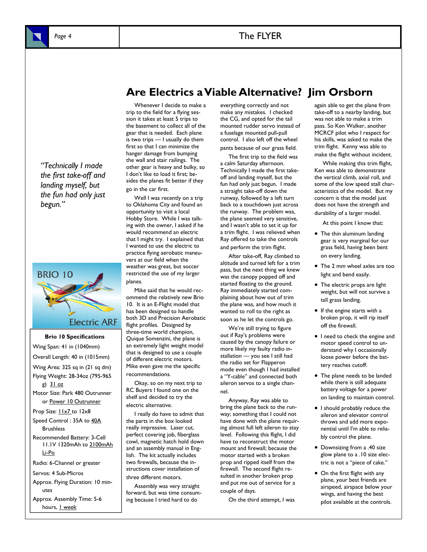

*"Technically I made the first take-off and landing myself, but the fun had only just begun."* 



**Brio 10 Specifications**  Wing Span: 41 in (1040mm) Overall Length: 40 in (1015mm) Wing Area: 325 sq in (21 sq dm) Flying Weight: 28-34oz (795-965 g) 31 oz Motor Size: Park 480 Outrunner or Power 10 Outrunner Prop Size: **11x7** to 12x8 Speed Control: 35A to 40A **Brushless** Recommended Battery: 3-Cell 11.1V 1320mAh to 2100mAh Li-Po Radio: 6-Channel or greater Servos: 4 Sub-Micros Approx. Flying Duration: 10 minutes Approx. Assembly Time: 5-6 hours, I week

### **Are Electrics a Viable Alternative? Jim Orsborn**

 Whenever I decide to make a trip to the field for a flying session it takes at least 5 trips to the basement to collect all of the gear that is needed. Each plane is two trips — I usually do them first so that I can minimize the hanger damage from bumping the wall and stair railings. The other gear is heavy and bulky, so I don't like to load it first; besides the planes fit better if they go in the car first.

Well I was recently on a trip to Oklahoma City and found an opportunity to visit a local Hobby Store. While I was talking with the owner, I asked if he would recommend an electric that I might try. I explained that I wanted to use the electric to practice flying aerobatic maneuvers at our field when the weather was great, but soccer restricted the use of my larger planes.

 Mike said that he would recommend the relatively new Brio 10. It is an E-Flight model that has been designed to handle both 3D and Precision Aerobatic flight profiles. Designed by three-time world champion, Quique Somenzini, the plane is an extremely light weight model that is designed to use a couple of different electric motors. Mike even gave me the specific recommendations.

 Okay, so on my next trip to RC Buyers I found one on the shelf and decided to try the electric alternative.

 I really do have to admit that the parts in the box looked really impressive. Laser cut, perfect covering job, fiberglass cowl, magnetic hatch hold down and an assembly manual in English. The kit actually includes two firewalls, because the instructions cover installation of three different motors.

 Assembly was very straight forward, but was time consuming because I tried hard to do

everything correctly and not make any mistakes. I checked the CG, and opted for the tail mounted rudder servo instead of a fuselage mounted pull-pull control. I also left off the wheel pants because of our grass field.

 The first trip to the field was a calm Saturday afternoon. Technically I made the first takeoff and landing myself, but the fun had only just begun. I made a straight take-off down the runway, followed by a left turn back to a touchdown just across the runway. The problem was, the plane seemed very sensitive, and I wasn't able to set it up for a trim flight. I was relieved when Ray offered to take the controls and perform the trim flight.

 After take-off, Ray climbed to altitude and turned left for a trim pass, but the next thing we knew was the canopy popped off and started floating to the ground. Ray immediately started complaining about how out of trim the plane was, and how much it wanted to roll to the right as soon as he let the controls go.

 We're still trying to figure out if Ray's problems were caused by the canopy failure or more likely my faulty radio installation — you see I still had the radio set for Flapperon mode even though I had installed a "Y-cable" and connected both aileron servos to a single channel.

 Anyway, Ray was able to bring the plane back to the runway; something that I could not have done with the plane requiring almost full left aileron to stay level. Following this flight, I did have to reconstruct the motor mount and firewall; because the motor started with a broken prop and ripped itself from the firewall. The second flight resulted in another broken prop and put me out of service for a couple of days.

On the third attempt, I was

again able to get the plane from take-off to a nearby landing, but was not able to make a trim pass. So Ken Walker, another MCRCF pilot who I respect for his skills, was asked to make the trim flight. Kenny was able to make the flight without incident.

 While making this trim flight, Ken was able to demonstrate the vertical climb, axial roll, and some of the low speed stall characteristics of the model. But my concern is that the model just does not have the strength and durability of a larger model.

At this point I know that:

- The thin aluminum landing gear is very marginal for our grass field, having been bent on every landing.
- The 2 mm wheel axles are too light and bend easily.
- The electric props are light weight, but will not survive a tall grass landing.
- If the engine starts with a broken prop, it will rip itself off the firewall.
- I need to check the engine and motor speed control to understand why I occasionally loose power before the battery reaches cutoff.
- The plane needs to be landed while there is still adequate battery voltage for a power on landing to maintain control.
- I should probably reduce the aileron and elevator control throws and add more exponential until I'm able to reliably control the plane.
- Downsizing from a .40 size glow plane to a .10 size electric is not a "piece of cake."
- On the first flight with any plane, your best friends are airspeed, airspace below your wings, and having the best pilot available at the controls.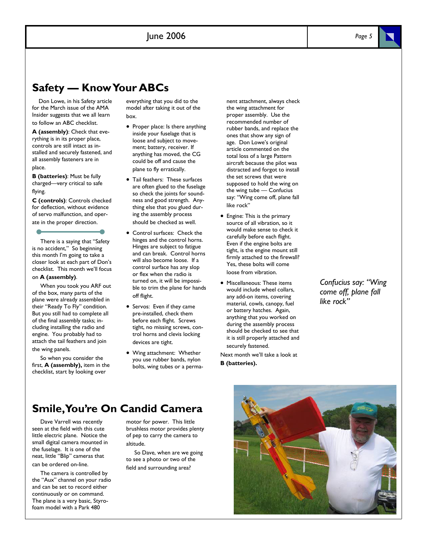### **Safety — Know Your ABCs**

 Don Lowe, in his Safety article for the March issue of the AMA Insider suggests that we all learn

to follow an ABC checklist.

**A (assembly)**: Check that everything is in its proper place, controls are still intact as installed and securely fastened, and all assembly fasteners are in place.

**B (batteries)**: Must be fully charged—very critical to safe flying.

**C (controls)**: Controls checked for deflection, without evidence of servo malfunction, and operate in the proper direction.

 There is a saying that "Safety is no accident," So beginning this month I'm going to take a closer look at each part of Don's checklist. This month we'll focus on **A (assembly)**.

 When you took you ARF out of the box, many parts of the plane were already assembled in their "Ready To Fly" condition. But you still had to complete all of the final assembly tasks; including installing the radio and engine. You probably had to attach the tail feathers and join the wing panels.

 So when you consider the first, **A (assembly),** item in the checklist, start by looking over

everything that you did to the model after taking it out of the box.

- Proper place: Is there anything inside your fuselage that is loose and subject to movement; battery, receiver. If anything has moved, the CG could be off and cause the plane to fly erratically.
- Tail feathers: These surfaces are often glued to the fuselage so check the joints for soundness and good strength. Anything else that you glued during the assembly process should be checked as well.
- Control surfaces: Check the hinges and the control horns. Hinges are subject to fatigue and can break. Control horns will also become loose. If a control surface has any slop or flex when the radio is turned on, it will be impossible to trim the plane for hands off flight.
- Servos: Even if they came pre-installed, check them before each flight. Screws tight, no missing screws, control horns and clevis locking devices are tight.
- Wing attachment: Whether you use rubber bands, nylon bolts, wing tubes or a perma-

nent attachment, always check the wing attachment for proper assembly. Use the recommended number of rubber bands, and replace the ones that show any sign of age. Don Lowe's original article commented on the total loss of a large Pattern aircraft because the pilot was distracted and forgot to install the set screws that were supposed to hold the wing on the wing tube — Confucius say: "Wing come off, plane fall like rock"

- Engine: This is the primary source of all vibration, so it would make sense to check it carefully before each flight. Even if the engine bolts are tight, is the engine mount still firmly attached to the firewall? Yes, these bolts will come loose from vibration.
- Miscellaneous: These items would include wheel collars, any add-on items, covering material, cowls, canopy, fuel or battery hatches. Again, anything that you worked on during the assembly process should be checked to see that it is still properly attached and securely fastened.

Next month we'll take a look at **B (batteries).**

*Confucius say: "Wing come off, plane fall like rock"* 

### **Smile, You're On Candid Camera**

 Dave Varrell was recently seen at the field with this cute little electric plane. Notice the small digital camera mounted in the fuselage. It is one of the neat, little "Blip" cameras that can be ordered on-line.

 The camera is controlled by the "Aux" channel on your radio and can be set to record either continuously or on command. The plane is a very basic, Styrofoam model with a Park 480

motor for power. This little brushless motor provides plenty of pep to carry the camera to altitude.

 So Dave, when are we going to see a photo or two of the field and surrounding area?



*Page 5*